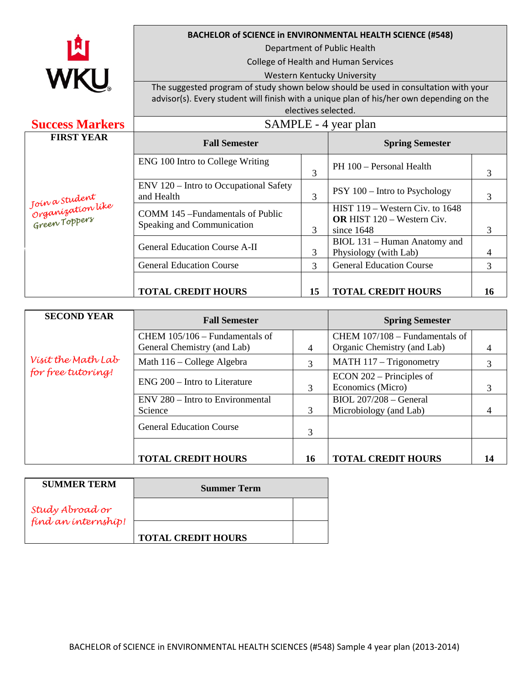

## **BACHELOR of SCIENCE in ENVIRONMENTAL HEALTH SCIENCE (#548)**

Department of Public Health

College of Health and Human Services

## Western Kentucky University

The suggested program of study shown below should be used in consultation with your advisor(s). Every student will finish with a unique plan of his/her own depending on the electives selected.

| <b>Success Markers</b>                                   | SAMPLE - 4 year plan                                            |               |                                                                                      |    |
|----------------------------------------------------------|-----------------------------------------------------------------|---------------|--------------------------------------------------------------------------------------|----|
| <b>FIRST YEAR</b>                                        | <b>Fall Semester</b>                                            |               | <b>Spring Semester</b>                                                               |    |
| Join a Student<br>  Organization like<br>  Green Toppers | ENG 100 Intro to College Writing                                | 3             | PH 100 - Personal Health                                                             | 3  |
|                                                          | ENV 120 – Intro to Occupational Safety<br>and Health            | 3             | PSY 100 – Intro to Psychology                                                        | 3  |
|                                                          | COMM 145 – Fundamentals of Public<br>Speaking and Communication | 3             | HIST 119 – Western Civ. to 1648<br><b>OR HIST 120 - Western Civ.</b><br>since $1648$ | 3  |
|                                                          | <b>General Education Course A-II</b>                            | 3             | BIOL 131 - Human Anatomy and<br>Physiology (with Lab)                                | 4  |
|                                                          | <b>General Education Course</b>                                 | $\mathcal{R}$ | <b>General Education Course</b>                                                      | 3  |
|                                                          | <b>TOTAL CREDIT HOURS</b>                                       | 15            | <b>TOTAL CREDIT HOURS</b>                                                            | 16 |

| <b>SECOND YEAR</b>                       | <b>Fall Semester</b>                                          |    | <b>Spring Semester</b>                                        |    |
|------------------------------------------|---------------------------------------------------------------|----|---------------------------------------------------------------|----|
| Vísít the Math Lab<br>for free tutoring! | CHEM 105/106 – Fundamentals of<br>General Chemistry (and Lab) | 4  | CHEM 107/108 - Fundamentals of<br>Organic Chemistry (and Lab) |    |
|                                          | Math 116 – College Algebra                                    | 3  | MATH 117 - Trigonometry                                       | 3  |
|                                          | ENG 200 – Intro to Literature                                 | 3  | $ECON 202 - Principles of$<br>Economics (Micro)               | 3  |
|                                          | ENV 280 – Intro to Environmental<br>Science                   | 3  | $BIOL 207/208 - General$<br>Microbiology (and Lab)            |    |
|                                          | <b>General Education Course</b>                               | 3  |                                                               |    |
|                                          | <b>TOTAL CREDIT HOURS</b>                                     | 16 | <b>TOTAL CREDIT HOURS</b>                                     | 14 |

| <b>SUMMER TERM</b>                     | <b>Summer Term</b>        |  |  |  |
|----------------------------------------|---------------------------|--|--|--|
| Study Abroad or<br>find an internship! |                           |  |  |  |
|                                        | <b>TOTAL CREDIT HOURS</b> |  |  |  |